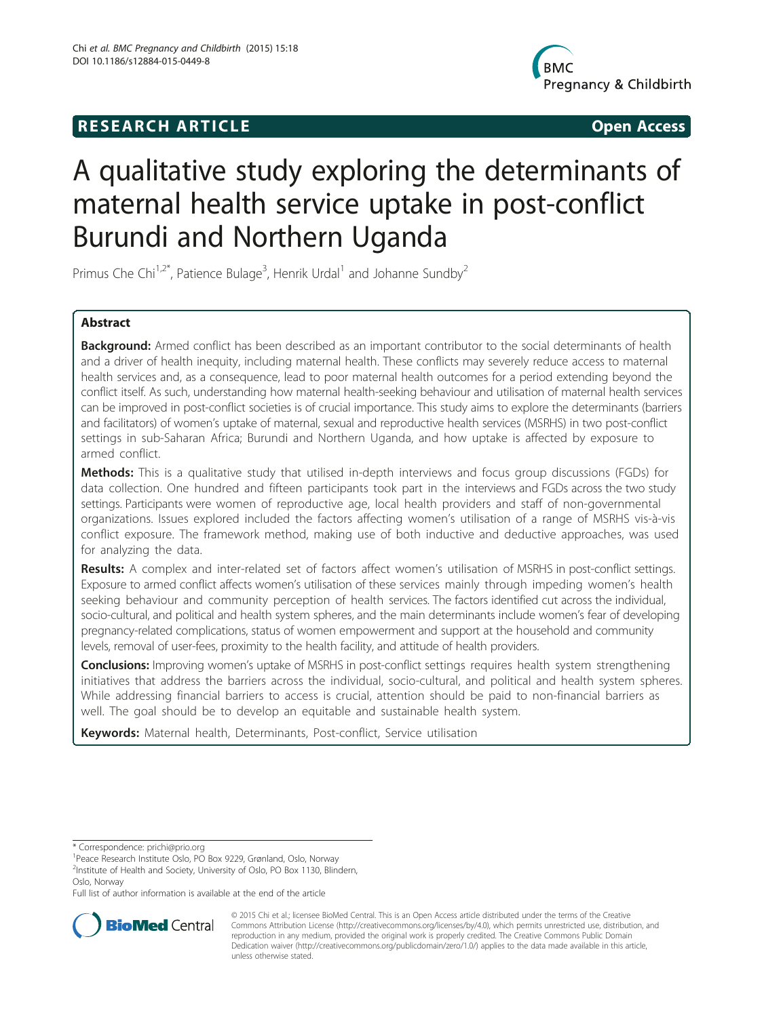# **RESEARCH ARTICLE Example 2014 CONSIDERING CONSIDERING CONSIDERING CONSIDERING CONSIDERING CONSIDERING CONSIDERING CONSIDERING CONSIDERING CONSIDERING CONSIDERING CONSIDERING CONSIDERING CONSIDERING CONSIDERING CONSIDE**



# A qualitative study exploring the determinants of maternal health service uptake in post-conflict Burundi and Northern Uganda

Primus Che Chi<sup>1,2\*</sup>, Patience Bulage<sup>3</sup>, Henrik Urdal<sup>1</sup> and Johanne Sundby<sup>2</sup>

# Abstract

**Background:** Armed conflict has been described as an important contributor to the social determinants of health and a driver of health inequity, including maternal health. These conflicts may severely reduce access to maternal health services and, as a consequence, lead to poor maternal health outcomes for a period extending beyond the conflict itself. As such, understanding how maternal health-seeking behaviour and utilisation of maternal health services can be improved in post-conflict societies is of crucial importance. This study aims to explore the determinants (barriers and facilitators) of women's uptake of maternal, sexual and reproductive health services (MSRHS) in two post-conflict settings in sub-Saharan Africa; Burundi and Northern Uganda, and how uptake is affected by exposure to armed conflict.

Methods: This is a qualitative study that utilised in-depth interviews and focus group discussions (FGDs) for data collection. One hundred and fifteen participants took part in the interviews and FGDs across the two study settings. Participants were women of reproductive age, local health providers and staff of non-governmental organizations. Issues explored included the factors affecting women's utilisation of a range of MSRHS vis-à-vis conflict exposure. The framework method, making use of both inductive and deductive approaches, was used for analyzing the data.

Results: A complex and inter-related set of factors affect women's utilisation of MSRHS in post-conflict settings. Exposure to armed conflict affects women's utilisation of these services mainly through impeding women's health seeking behaviour and community perception of health services. The factors identified cut across the individual, socio-cultural, and political and health system spheres, and the main determinants include women's fear of developing pregnancy-related complications, status of women empowerment and support at the household and community levels, removal of user-fees, proximity to the health facility, and attitude of health providers.

**Conclusions:** Improving women's uptake of MSRHS in post-conflict settings requires health system strengthening initiatives that address the barriers across the individual, socio-cultural, and political and health system spheres. While addressing financial barriers to access is crucial, attention should be paid to non-financial barriers as well. The goal should be to develop an equitable and sustainable health system.

Keywords: Maternal health, Determinants, Post-conflict, Service utilisation

<sup>2</sup>Institute of Health and Society, University of Oslo, PO Box 1130, Blindern, Oslo, Norway

Full list of author information is available at the end of the article



© 2015 Chi et al.; licensee BioMed Central. This is an Open Access article distributed under the terms of the Creative Commons Attribution License [\(http://creativecommons.org/licenses/by/4.0\)](http://creativecommons.org/licenses/by/4.0), which permits unrestricted use, distribution, and reproduction in any medium, provided the original work is properly credited. The Creative Commons Public Domain Dedication waiver [\(http://creativecommons.org/publicdomain/zero/1.0/](http://creativecommons.org/publicdomain/zero/1.0/)) applies to the data made available in this article, unless otherwise stated.

<sup>\*</sup> Correspondence: [prichi@prio.org](mailto:prichi@prio.org) <sup>1</sup>

Peace Research Institute Oslo, PO Box 9229, Grønland, Oslo, Norway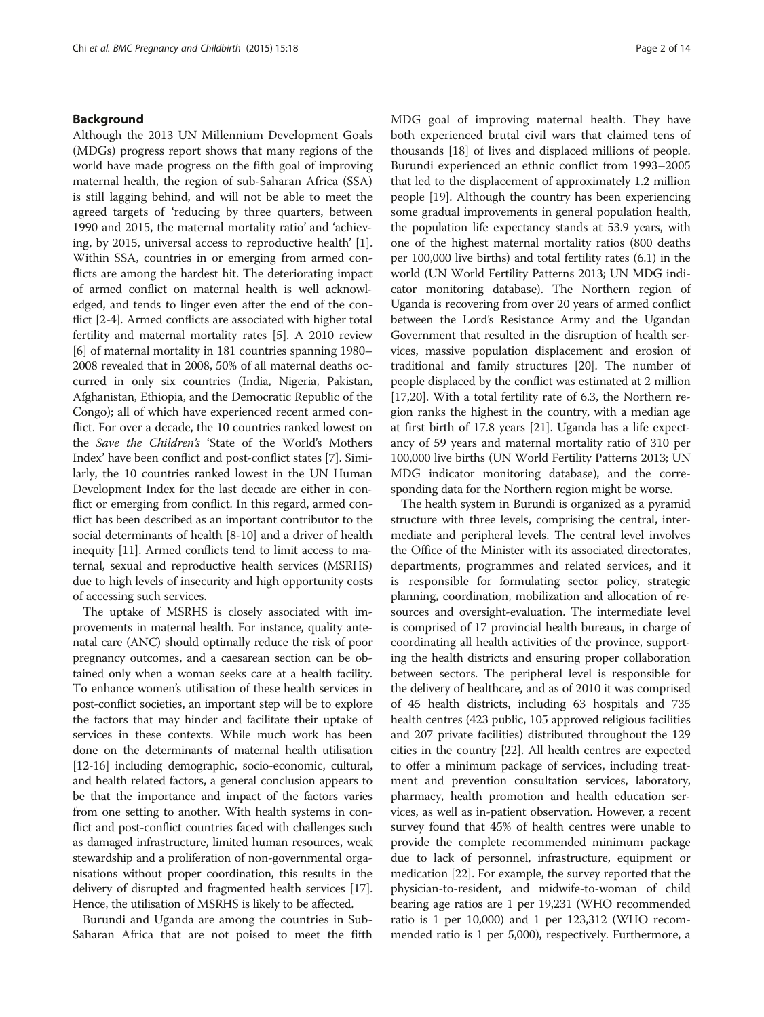#### Background

Although the 2013 UN Millennium Development Goals (MDGs) progress report shows that many regions of the world have made progress on the fifth goal of improving maternal health, the region of sub-Saharan Africa (SSA) is still lagging behind, and will not be able to meet the agreed targets of 'reducing by three quarters, between 1990 and 2015, the maternal mortality ratio' and 'achieving, by 2015, universal access to reproductive health' [\[1](#page-12-0)]. Within SSA, countries in or emerging from armed conflicts are among the hardest hit. The deteriorating impact of armed conflict on maternal health is well acknowledged, and tends to linger even after the end of the conflict [[2-4\]](#page-12-0). Armed conflicts are associated with higher total fertility and maternal mortality rates [\[5](#page-12-0)]. A 2010 review [[6\]](#page-12-0) of maternal mortality in 181 countries spanning 1980– 2008 revealed that in 2008, 50% of all maternal deaths occurred in only six countries (India, Nigeria, Pakistan, Afghanistan, Ethiopia, and the Democratic Republic of the Congo); all of which have experienced recent armed conflict. For over a decade, the 10 countries ranked lowest on the Save the Children's 'State of the World's Mothers Index' have been conflict and post-conflict states [\[7](#page-12-0)]. Similarly, the 10 countries ranked lowest in the UN Human Development Index for the last decade are either in conflict or emerging from conflict. In this regard, armed conflict has been described as an important contributor to the social determinants of health [\[8](#page-12-0)-[10](#page-12-0)] and a driver of health inequity [\[11\]](#page-12-0). Armed conflicts tend to limit access to maternal, sexual and reproductive health services (MSRHS) due to high levels of insecurity and high opportunity costs of accessing such services.

The uptake of MSRHS is closely associated with improvements in maternal health. For instance, quality antenatal care (ANC) should optimally reduce the risk of poor pregnancy outcomes, and a caesarean section can be obtained only when a woman seeks care at a health facility. To enhance women's utilisation of these health services in post-conflict societies, an important step will be to explore the factors that may hinder and facilitate their uptake of services in these contexts. While much work has been done on the determinants of maternal health utilisation [[12](#page-12-0)-[16](#page-13-0)] including demographic, socio-economic, cultural, and health related factors, a general conclusion appears to be that the importance and impact of the factors varies from one setting to another. With health systems in conflict and post-conflict countries faced with challenges such as damaged infrastructure, limited human resources, weak stewardship and a proliferation of non-governmental organisations without proper coordination, this results in the delivery of disrupted and fragmented health services [[17](#page-13-0)]. Hence, the utilisation of MSRHS is likely to be affected.

Burundi and Uganda are among the countries in Sub-Saharan Africa that are not poised to meet the fifth MDG goal of improving maternal health. They have both experienced brutal civil wars that claimed tens of thousands [[18\]](#page-13-0) of lives and displaced millions of people. Burundi experienced an ethnic conflict from 1993–2005 that led to the displacement of approximately 1.2 million people [[19](#page-13-0)]. Although the country has been experiencing some gradual improvements in general population health, the population life expectancy stands at 53.9 years, with one of the highest maternal mortality ratios (800 deaths per 100,000 live births) and total fertility rates (6.1) in the world (UN World Fertility Patterns 2013; UN MDG indicator monitoring database). The Northern region of Uganda is recovering from over 20 years of armed conflict between the Lord's Resistance Army and the Ugandan Government that resulted in the disruption of health services, massive population displacement and erosion of traditional and family structures [\[20\]](#page-13-0). The number of people displaced by the conflict was estimated at 2 million [[17](#page-13-0),[20](#page-13-0)]. With a total fertility rate of 6.3, the Northern region ranks the highest in the country, with a median age at first birth of 17.8 years [\[21\]](#page-13-0). Uganda has a life expectancy of 59 years and maternal mortality ratio of 310 per 100,000 live births (UN World Fertility Patterns 2013; UN MDG indicator monitoring database), and the corresponding data for the Northern region might be worse.

The health system in Burundi is organized as a pyramid structure with three levels, comprising the central, intermediate and peripheral levels. The central level involves the Office of the Minister with its associated directorates, departments, programmes and related services, and it is responsible for formulating sector policy, strategic planning, coordination, mobilization and allocation of resources and oversight-evaluation. The intermediate level is comprised of 17 provincial health bureaus, in charge of coordinating all health activities of the province, supporting the health districts and ensuring proper collaboration between sectors. The peripheral level is responsible for the delivery of healthcare, and as of 2010 it was comprised of 45 health districts, including 63 hospitals and 735 health centres (423 public, 105 approved religious facilities and 207 private facilities) distributed throughout the 129 cities in the country [[22](#page-13-0)]. All health centres are expected to offer a minimum package of services, including treatment and prevention consultation services, laboratory, pharmacy, health promotion and health education services, as well as in-patient observation. However, a recent survey found that 45% of health centres were unable to provide the complete recommended minimum package due to lack of personnel, infrastructure, equipment or medication [\[22\]](#page-13-0). For example, the survey reported that the physician-to-resident, and midwife-to-woman of child bearing age ratios are 1 per 19,231 (WHO recommended ratio is 1 per 10,000) and 1 per 123,312 (WHO recommended ratio is 1 per 5,000), respectively. Furthermore, a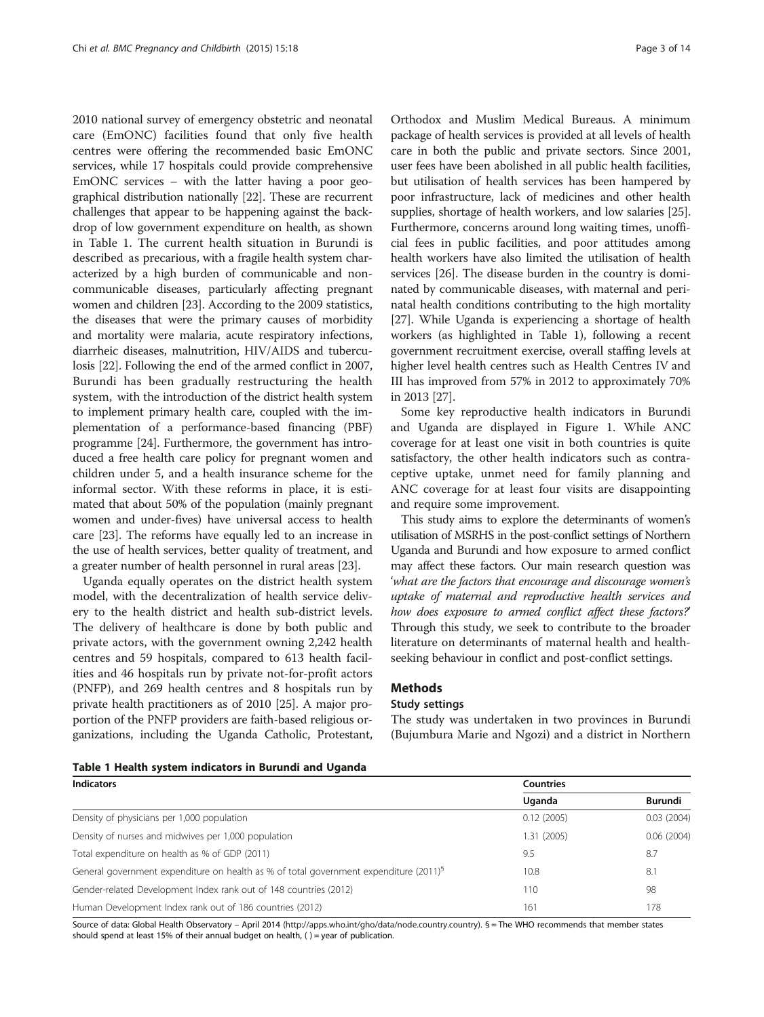2010 national survey of emergency obstetric and neonatal care (EmONC) facilities found that only five health centres were offering the recommended basic EmONC services, while 17 hospitals could provide comprehensive EmONC services – with the latter having a poor geographical distribution nationally [\[22\]](#page-13-0). These are recurrent challenges that appear to be happening against the backdrop of low government expenditure on health, as shown in Table 1. The current health situation in Burundi is described as precarious, with a fragile health system characterized by a high burden of communicable and noncommunicable diseases, particularly affecting pregnant women and children [[23](#page-13-0)]. According to the 2009 statistics, the diseases that were the primary causes of morbidity and mortality were malaria, acute respiratory infections, diarrheic diseases, malnutrition, HIV/AIDS and tuberculosis [[22](#page-13-0)]. Following the end of the armed conflict in 2007, Burundi has been gradually restructuring the health system, with the introduction of the district health system to implement primary health care, coupled with the implementation of a performance-based financing (PBF) programme [[24](#page-13-0)]. Furthermore, the government has introduced a free health care policy for pregnant women and children under 5, and a health insurance scheme for the informal sector. With these reforms in place, it is estimated that about 50% of the population (mainly pregnant women and under-fives) have universal access to health care [[23\]](#page-13-0). The reforms have equally led to an increase in the use of health services, better quality of treatment, and a greater number of health personnel in rural areas [\[23\]](#page-13-0).

Uganda equally operates on the district health system model, with the decentralization of health service delivery to the health district and health sub-district levels. The delivery of healthcare is done by both public and private actors, with the government owning 2,242 health centres and 59 hospitals, compared to 613 health facilities and 46 hospitals run by private not-for-profit actors (PNFP), and 269 health centres and 8 hospitals run by private health practitioners as of 2010 [[25\]](#page-13-0). A major proportion of the PNFP providers are faith-based religious organizations, including the Uganda Catholic, Protestant,

Orthodox and Muslim Medical Bureaus. A minimum package of health services is provided at all levels of health care in both the public and private sectors. Since 2001, user fees have been abolished in all public health facilities, but utilisation of health services has been hampered by poor infrastructure, lack of medicines and other health supplies, shortage of health workers, and low salaries [[25](#page-13-0)]. Furthermore, concerns around long waiting times, unofficial fees in public facilities, and poor attitudes among health workers have also limited the utilisation of health services [\[26\]](#page-13-0). The disease burden in the country is dominated by communicable diseases, with maternal and perinatal health conditions contributing to the high mortality [[27](#page-13-0)]. While Uganda is experiencing a shortage of health workers (as highlighted in Table 1), following a recent government recruitment exercise, overall staffing levels at higher level health centres such as Health Centres IV and III has improved from 57% in 2012 to approximately 70% in 2013 [\[27\]](#page-13-0).

Some key reproductive health indicators in Burundi and Uganda are displayed in Figure [1.](#page-3-0) While ANC coverage for at least one visit in both countries is quite satisfactory, the other health indicators such as contraceptive uptake, unmet need for family planning and ANC coverage for at least four visits are disappointing and require some improvement.

This study aims to explore the determinants of women's utilisation of MSRHS in the post-conflict settings of Northern Uganda and Burundi and how exposure to armed conflict may affect these factors. Our main research question was 'what are the factors that encourage and discourage women's uptake of maternal and reproductive health services and how does exposure to armed conflict affect these factors?' Through this study, we seek to contribute to the broader literature on determinants of maternal health and healthseeking behaviour in conflict and post-conflict settings.

# **Methods**

# Study settings

The study was undertaken in two provinces in Burundi (Bujumbura Marie and Ngozi) and a district in Northern

| Table 1 Health system indicators in Burundi and Uganda |  |  |  |
|--------------------------------------------------------|--|--|--|
|--------------------------------------------------------|--|--|--|

| <b>Indicators</b>                                                                                 | Countries   |            |  |
|---------------------------------------------------------------------------------------------------|-------------|------------|--|
|                                                                                                   | Uganda      | Burundi    |  |
| Density of physicians per 1,000 population                                                        | 0.12(2005)  | 0.03(2004) |  |
| Density of nurses and midwives per 1,000 population                                               | 1.31 (2005) | 0.06(2004) |  |
| Total expenditure on health as % of GDP (2011)                                                    | 9.5         | 8.7        |  |
| General government expenditure on health as % of total government expenditure (2011) <sup>8</sup> | 10.8        | 8.1        |  |
| Gender-related Development Index rank out of 148 countries (2012)                                 | 110         | 98         |  |
| Human Development Index rank out of 186 countries (2012)                                          | 161         | 178        |  |

Source of data: Global Health Observatory – April 2014 ([http://apps.who.int/gho/data/node.country.country\)](http://apps.who.int/gho/data/node.country.country). § = The WHO recommends that member states should spend at least 15% of their annual budget on health, ( ) = year of publication.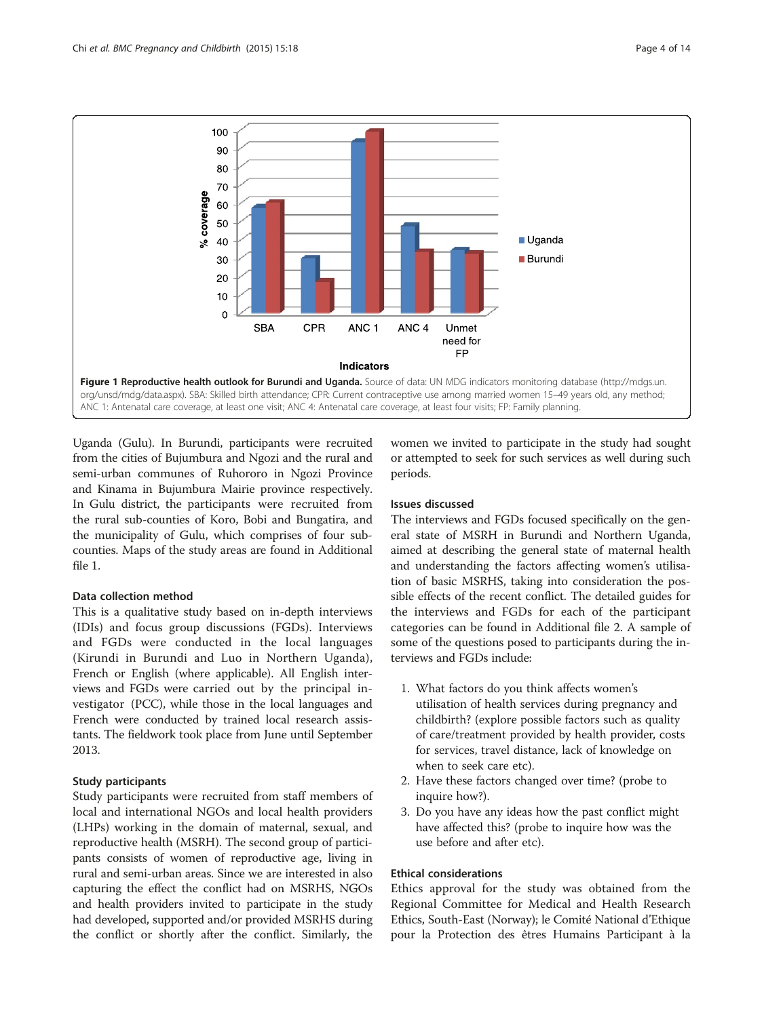<span id="page-3-0"></span>

Uganda (Gulu). In Burundi, participants were recruited from the cities of Bujumbura and Ngozi and the rural and semi-urban communes of Ruhororo in Ngozi Province and Kinama in Bujumbura Mairie province respectively. In Gulu district, the participants were recruited from the rural sub-counties of Koro, Bobi and Bungatira, and the municipality of Gulu, which comprises of four subcounties. Maps of the study areas are found in Additional file [1](#page-12-0).

#### Data collection method

This is a qualitative study based on in-depth interviews (IDIs) and focus group discussions (FGDs). Interviews and FGDs were conducted in the local languages (Kirundi in Burundi and Luo in Northern Uganda), French or English (where applicable). All English interviews and FGDs were carried out by the principal investigator (PCC), while those in the local languages and French were conducted by trained local research assistants. The fieldwork took place from June until September 2013.

# Study participants

Study participants were recruited from staff members of local and international NGOs and local health providers (LHPs) working in the domain of maternal, sexual, and reproductive health (MSRH). The second group of participants consists of women of reproductive age, living in rural and semi-urban areas. Since we are interested in also capturing the effect the conflict had on MSRHS, NGOs and health providers invited to participate in the study had developed, supported and/or provided MSRHS during the conflict or shortly after the conflict. Similarly, the

women we invited to participate in the study had sought or attempted to seek for such services as well during such periods.

#### Issues discussed

The interviews and FGDs focused specifically on the general state of MSRH in Burundi and Northern Uganda, aimed at describing the general state of maternal health and understanding the factors affecting women's utilisation of basic MSRHS, taking into consideration the possible effects of the recent conflict. The detailed guides for the interviews and FGDs for each of the participant categories can be found in Additional file [2.](#page-12-0) A sample of some of the questions posed to participants during the interviews and FGDs include:

- 1. What factors do you think affects women's utilisation of health services during pregnancy and childbirth? (explore possible factors such as quality of care/treatment provided by health provider, costs for services, travel distance, lack of knowledge on when to seek care etc).
- 2. Have these factors changed over time? (probe to inquire how?).
- 3. Do you have any ideas how the past conflict might have affected this? (probe to inquire how was the use before and after etc).

#### Ethical considerations

Ethics approval for the study was obtained from the Regional Committee for Medical and Health Research Ethics, South-East (Norway); le Comité National d'Ethique pour la Protection des êtres Humains Participant à la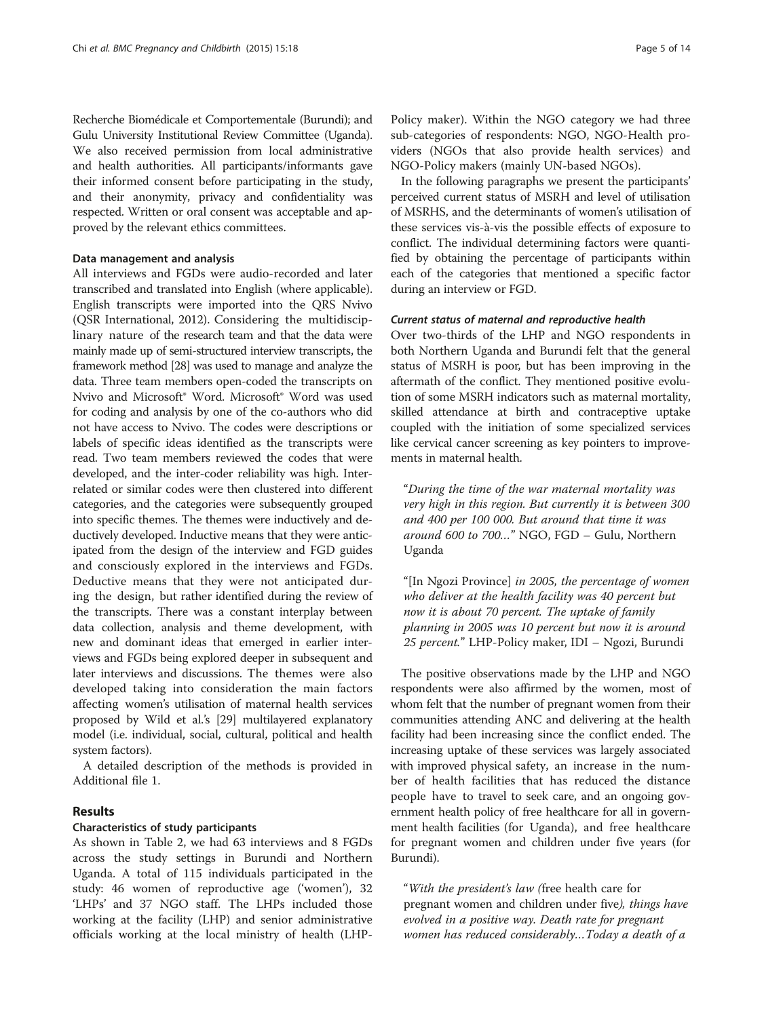Recherche Biomédicale et Comportementale (Burundi); and Gulu University Institutional Review Committee (Uganda). We also received permission from local administrative and health authorities. All participants/informants gave their informed consent before participating in the study, and their anonymity, privacy and confidentiality was respected. Written or oral consent was acceptable and approved by the relevant ethics committees.

#### Data management and analysis

All interviews and FGDs were audio-recorded and later transcribed and translated into English (where applicable). English transcripts were imported into the QRS Nvivo (QSR International, 2012). Considering the multidisciplinary nature of the research team and that the data were mainly made up of semi-structured interview transcripts, the framework method [\[28](#page-13-0)] was used to manage and analyze the data. Three team members open-coded the transcripts on Nvivo and Microsoft® Word. Microsoft® Word was used for coding and analysis by one of the co-authors who did not have access to Nvivo. The codes were descriptions or labels of specific ideas identified as the transcripts were read. Two team members reviewed the codes that were developed, and the inter-coder reliability was high. Interrelated or similar codes were then clustered into different categories, and the categories were subsequently grouped into specific themes. The themes were inductively and deductively developed. Inductive means that they were anticipated from the design of the interview and FGD guides and consciously explored in the interviews and FGDs. Deductive means that they were not anticipated during the design, but rather identified during the review of the transcripts. There was a constant interplay between data collection, analysis and theme development, with new and dominant ideas that emerged in earlier interviews and FGDs being explored deeper in subsequent and later interviews and discussions. The themes were also developed taking into consideration the main factors affecting women's utilisation of maternal health services proposed by Wild et al.'s [[29](#page-13-0)] multilayered explanatory model (i.e. individual, social, cultural, political and health system factors).

A detailed description of the methods is provided in Additional file [1.](#page-12-0)

#### Results

#### Characteristics of study participants

As shown in Table [2](#page-5-0), we had 63 interviews and 8 FGDs across the study settings in Burundi and Northern Uganda. A total of 115 individuals participated in the study: 46 women of reproductive age ('women'), 32 'LHPs' and 37 NGO staff. The LHPs included those working at the facility (LHP) and senior administrative officials working at the local ministry of health (LHP-

Policy maker). Within the NGO category we had three sub-categories of respondents: NGO, NGO-Health providers (NGOs that also provide health services) and NGO-Policy makers (mainly UN-based NGOs).

In the following paragraphs we present the participants' perceived current status of MSRH and level of utilisation of MSRHS, and the determinants of women's utilisation of these services vis-à-vis the possible effects of exposure to conflict. The individual determining factors were quantified by obtaining the percentage of participants within each of the categories that mentioned a specific factor during an interview or FGD.

#### Current status of maternal and reproductive health

Over two-thirds of the LHP and NGO respondents in both Northern Uganda and Burundi felt that the general status of MSRH is poor, but has been improving in the aftermath of the conflict. They mentioned positive evolution of some MSRH indicators such as maternal mortality, skilled attendance at birth and contraceptive uptake coupled with the initiation of some specialized services like cervical cancer screening as key pointers to improvements in maternal health.

"During the time of the war maternal mortality was very high in this region. But currently it is between 300 and 400 per 100 000. But around that time it was around 600 to 700…" NGO, FGD – Gulu, Northern Uganda

"[In Ngozi Province] in 2005, the percentage of women who deliver at the health facility was 40 percent but now it is about 70 percent. The uptake of family planning in 2005 was 10 percent but now it is around 25 percent." LHP-Policy maker, IDI – Ngozi, Burundi

The positive observations made by the LHP and NGO respondents were also affirmed by the women, most of whom felt that the number of pregnant women from their communities attending ANC and delivering at the health facility had been increasing since the conflict ended. The increasing uptake of these services was largely associated with improved physical safety, an increase in the number of health facilities that has reduced the distance people have to travel to seek care, and an ongoing government health policy of free healthcare for all in government health facilities (for Uganda), and free healthcare for pregnant women and children under five years (for Burundi).

"With the president's law (free health care for pregnant women and children under five), things have evolved in a positive way. Death rate for pregnant women has reduced considerably…Today a death of a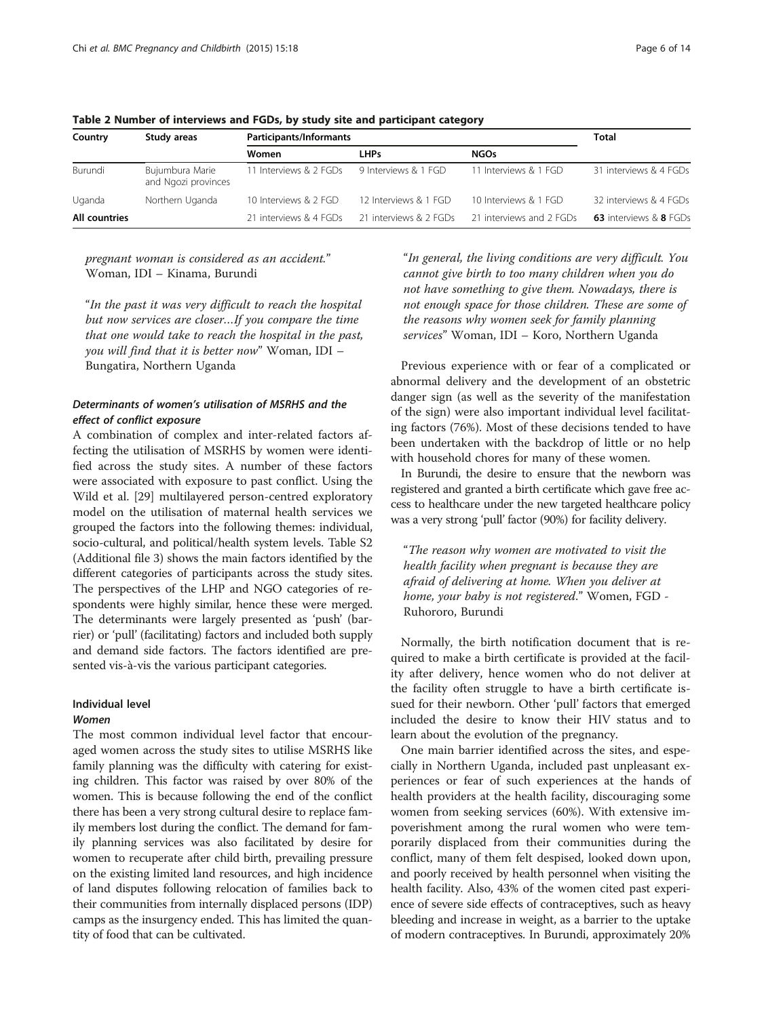| Country       | Study areas                            | Participants/Informants |                        |                          | <b>Total</b>           |
|---------------|----------------------------------------|-------------------------|------------------------|--------------------------|------------------------|
|               |                                        | Women                   | <b>LHPs</b>            | <b>NGOs</b>              |                        |
| Burundi       | Bujumbura Marie<br>and Ngozi provinces | 11 Interviews & 2 FGDs  | 9 Interviews & 1 FGD   | 11 Interviews & 1 FGD    | 31 interviews & 4 FGDs |
| Uganda        | Northern Uganda                        | 10 Interviews & 2 FGD   | 12 Interviews & 1 FGD  | 10 Interviews & 1 FGD    | 32 interviews & 4 FGDs |
| All countries |                                        | 21 interviews & 4 FGDs  | 21 interviews & 2 FGDs | 21 interviews and 2 FGDs | 63 interviews & 8 FGDs |

<span id="page-5-0"></span>Table 2 Number of interviews and FGDs, by study site and participant category

pregnant woman is considered as an accident." Woman, IDI – Kinama, Burundi

"In the past it was very difficult to reach the hospital but now services are closer…If you compare the time that one would take to reach the hospital in the past, you will find that it is better now" Woman, IDI – Bungatira, Northern Uganda

# Determinants of women's utilisation of MSRHS and the effect of conflict exposure

A combination of complex and inter-related factors affecting the utilisation of MSRHS by women were identified across the study sites. A number of these factors were associated with exposure to past conflict. Using the Wild et al. [[29](#page-13-0)] multilayered person-centred exploratory model on the utilisation of maternal health services we grouped the factors into the following themes: individual, socio-cultural, and political/health system levels. Table S2 (Additional file [3](#page-12-0)) shows the main factors identified by the different categories of participants across the study sites. The perspectives of the LHP and NGO categories of respondents were highly similar, hence these were merged. The determinants were largely presented as 'push' (barrier) or 'pull' (facilitating) factors and included both supply and demand side factors. The factors identified are presented vis-à-vis the various participant categories.

# Individual level

# **Women**

The most common individual level factor that encouraged women across the study sites to utilise MSRHS like family planning was the difficulty with catering for existing children. This factor was raised by over 80% of the women. This is because following the end of the conflict there has been a very strong cultural desire to replace family members lost during the conflict. The demand for family planning services was also facilitated by desire for women to recuperate after child birth, prevailing pressure on the existing limited land resources, and high incidence of land disputes following relocation of families back to their communities from internally displaced persons (IDP) camps as the insurgency ended. This has limited the quantity of food that can be cultivated.

"In general, the living conditions are very difficult. You cannot give birth to too many children when you do not have something to give them. Nowadays, there is not enough space for those children. These are some of the reasons why women seek for family planning services" Woman, IDI – Koro, Northern Uganda

Previous experience with or fear of a complicated or abnormal delivery and the development of an obstetric danger sign (as well as the severity of the manifestation of the sign) were also important individual level facilitating factors (76%). Most of these decisions tended to have been undertaken with the backdrop of little or no help with household chores for many of these women.

In Burundi, the desire to ensure that the newborn was registered and granted a birth certificate which gave free access to healthcare under the new targeted healthcare policy was a very strong 'pull' factor (90%) for facility delivery.

"The reason why women are motivated to visit the health facility when pregnant is because they are afraid of delivering at home. When you deliver at home, your baby is not registered." Women, FGD - Ruhororo, Burundi

Normally, the birth notification document that is required to make a birth certificate is provided at the facility after delivery, hence women who do not deliver at the facility often struggle to have a birth certificate issued for their newborn. Other 'pull' factors that emerged included the desire to know their HIV status and to learn about the evolution of the pregnancy.

One main barrier identified across the sites, and especially in Northern Uganda, included past unpleasant experiences or fear of such experiences at the hands of health providers at the health facility, discouraging some women from seeking services (60%). With extensive impoverishment among the rural women who were temporarily displaced from their communities during the conflict, many of them felt despised, looked down upon, and poorly received by health personnel when visiting the health facility. Also, 43% of the women cited past experience of severe side effects of contraceptives, such as heavy bleeding and increase in weight, as a barrier to the uptake of modern contraceptives. In Burundi, approximately 20%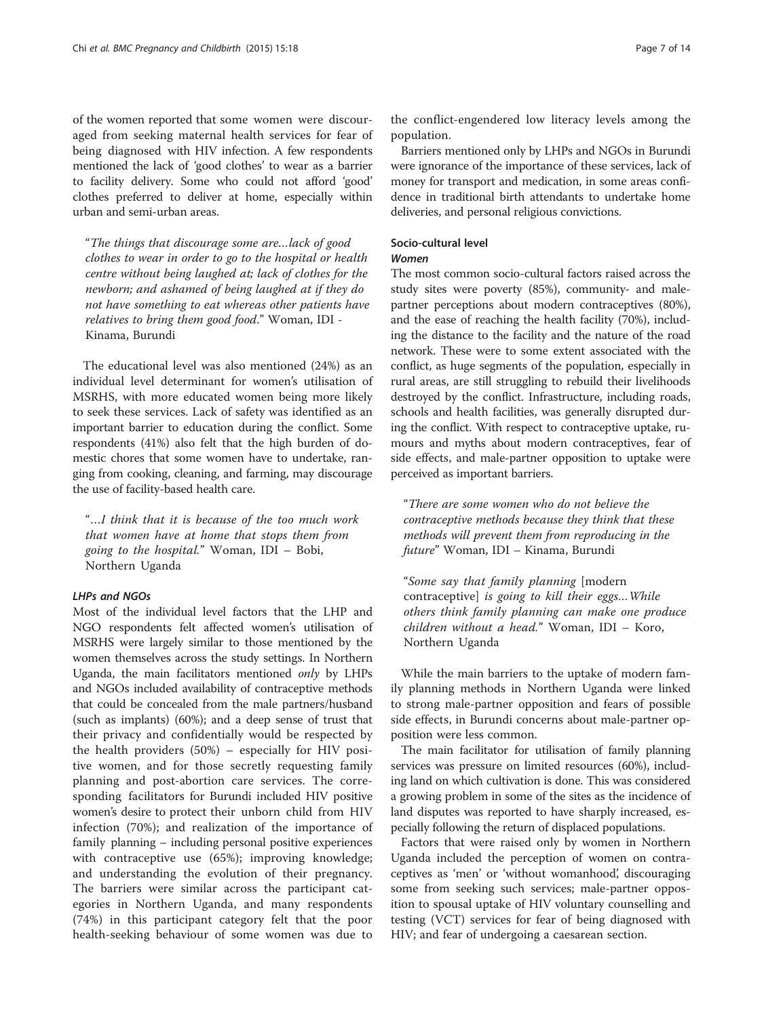of the women reported that some women were discouraged from seeking maternal health services for fear of being diagnosed with HIV infection. A few respondents mentioned the lack of 'good clothes' to wear as a barrier to facility delivery. Some who could not afford 'good' clothes preferred to deliver at home, especially within urban and semi-urban areas.

"The things that discourage some are…lack of good clothes to wear in order to go to the hospital or health centre without being laughed at; lack of clothes for the newborn; and ashamed of being laughed at if they do not have something to eat whereas other patients have relatives to bring them good food." Woman, IDI - Kinama, Burundi

The educational level was also mentioned (24%) as an individual level determinant for women's utilisation of MSRHS, with more educated women being more likely to seek these services. Lack of safety was identified as an important barrier to education during the conflict. Some respondents (41%) also felt that the high burden of domestic chores that some women have to undertake, ranging from cooking, cleaning, and farming, may discourage the use of facility-based health care.

"…I think that it is because of the too much work that women have at home that stops them from going to the hospital." Woman, IDI – Bobi, Northern Uganda

#### LHPs and NGOs

Most of the individual level factors that the LHP and NGO respondents felt affected women's utilisation of MSRHS were largely similar to those mentioned by the women themselves across the study settings. In Northern Uganda, the main facilitators mentioned only by LHPs and NGOs included availability of contraceptive methods that could be concealed from the male partners/husband (such as implants) (60%); and a deep sense of trust that their privacy and confidentially would be respected by the health providers (50%) – especially for HIV positive women, and for those secretly requesting family planning and post-abortion care services. The corresponding facilitators for Burundi included HIV positive women's desire to protect their unborn child from HIV infection (70%); and realization of the importance of family planning – including personal positive experiences with contraceptive use (65%); improving knowledge; and understanding the evolution of their pregnancy. The barriers were similar across the participant categories in Northern Uganda, and many respondents (74%) in this participant category felt that the poor health-seeking behaviour of some women was due to

the conflict-engendered low literacy levels among the population.

Barriers mentioned only by LHPs and NGOs in Burundi were ignorance of the importance of these services, lack of money for transport and medication, in some areas confidence in traditional birth attendants to undertake home deliveries, and personal religious convictions.

#### Socio-cultural level

#### Women

The most common socio-cultural factors raised across the study sites were poverty (85%), community- and malepartner perceptions about modern contraceptives (80%), and the ease of reaching the health facility (70%), including the distance to the facility and the nature of the road network. These were to some extent associated with the conflict, as huge segments of the population, especially in rural areas, are still struggling to rebuild their livelihoods destroyed by the conflict. Infrastructure, including roads, schools and health facilities, was generally disrupted during the conflict. With respect to contraceptive uptake, rumours and myths about modern contraceptives, fear of side effects, and male-partner opposition to uptake were perceived as important barriers.

"There are some women who do not believe the contraceptive methods because they think that these methods will prevent them from reproducing in the future" Woman, IDI – Kinama, Burundi

"Some say that family planning [modern contraceptive] is going to kill their eggs…While others think family planning can make one produce children without a head." Woman, IDI – Koro, Northern Uganda

While the main barriers to the uptake of modern family planning methods in Northern Uganda were linked to strong male-partner opposition and fears of possible side effects, in Burundi concerns about male-partner opposition were less common.

The main facilitator for utilisation of family planning services was pressure on limited resources (60%), including land on which cultivation is done. This was considered a growing problem in some of the sites as the incidence of land disputes was reported to have sharply increased, especially following the return of displaced populations.

Factors that were raised only by women in Northern Uganda included the perception of women on contraceptives as 'men' or 'without womanhood', discouraging some from seeking such services; male-partner opposition to spousal uptake of HIV voluntary counselling and testing (VCT) services for fear of being diagnosed with HIV; and fear of undergoing a caesarean section.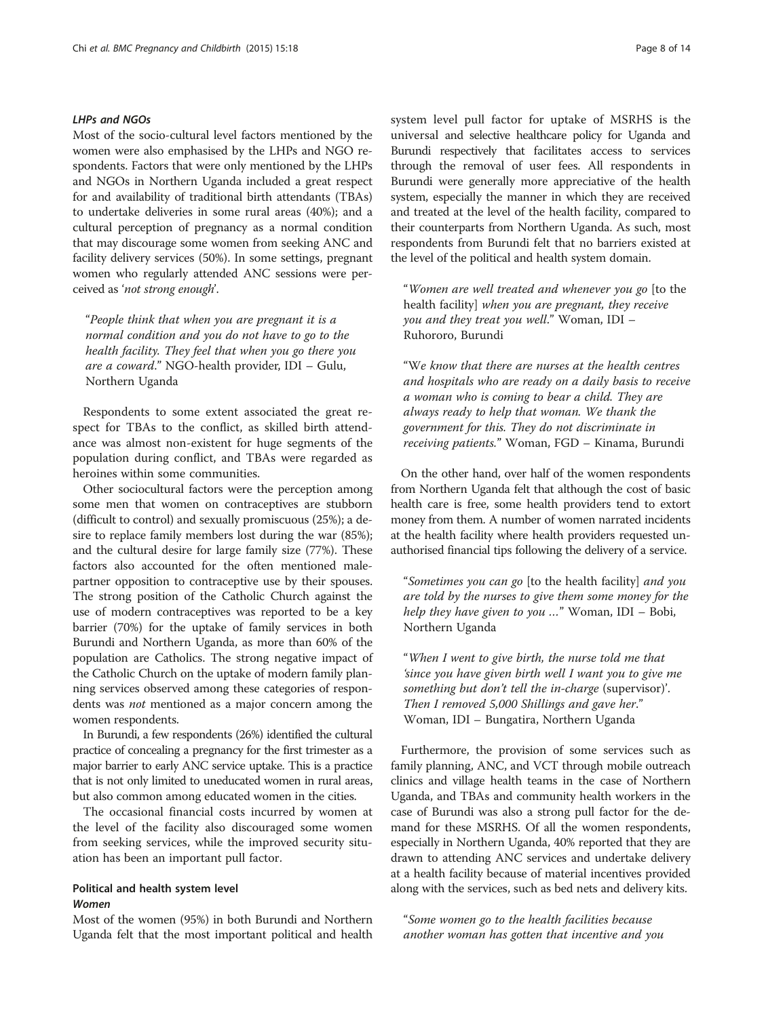#### LHPs and NGOs

Most of the socio-cultural level factors mentioned by the women were also emphasised by the LHPs and NGO respondents. Factors that were only mentioned by the LHPs and NGOs in Northern Uganda included a great respect for and availability of traditional birth attendants (TBAs) to undertake deliveries in some rural areas (40%); and a cultural perception of pregnancy as a normal condition that may discourage some women from seeking ANC and facility delivery services (50%). In some settings, pregnant women who regularly attended ANC sessions were perceived as 'not strong enough'.

"People think that when you are pregnant it is a normal condition and you do not have to go to the health facility. They feel that when you go there you are a coward." NGO-health provider, IDI – Gulu, Northern Uganda

Respondents to some extent associated the great respect for TBAs to the conflict, as skilled birth attendance was almost non-existent for huge segments of the population during conflict, and TBAs were regarded as heroines within some communities.

Other sociocultural factors were the perception among some men that women on contraceptives are stubborn (difficult to control) and sexually promiscuous (25%); a desire to replace family members lost during the war (85%); and the cultural desire for large family size (77%). These factors also accounted for the often mentioned malepartner opposition to contraceptive use by their spouses. The strong position of the Catholic Church against the use of modern contraceptives was reported to be a key barrier (70%) for the uptake of family services in both Burundi and Northern Uganda, as more than 60% of the population are Catholics. The strong negative impact of the Catholic Church on the uptake of modern family planning services observed among these categories of respondents was not mentioned as a major concern among the women respondents.

In Burundi, a few respondents (26%) identified the cultural practice of concealing a pregnancy for the first trimester as a major barrier to early ANC service uptake. This is a practice that is not only limited to uneducated women in rural areas, but also common among educated women in the cities.

The occasional financial costs incurred by women at the level of the facility also discouraged some women from seeking services, while the improved security situation has been an important pull factor.

# Political and health system level Women

Most of the women (95%) in both Burundi and Northern Uganda felt that the most important political and health system level pull factor for uptake of MSRHS is the universal and selective healthcare policy for Uganda and Burundi respectively that facilitates access to services through the removal of user fees. All respondents in Burundi were generally more appreciative of the health system, especially the manner in which they are received and treated at the level of the health facility, compared to their counterparts from Northern Uganda. As such, most respondents from Burundi felt that no barriers existed at the level of the political and health system domain.

"Women are well treated and whenever you go [to the health facility] when you are pregnant, they receive you and they treat you well." Woman, IDI – Ruhororo, Burundi

"We know that there are nurses at the health centres and hospitals who are ready on a daily basis to receive a woman who is coming to bear a child. They are always ready to help that woman. We thank the government for this. They do not discriminate in receiving patients." Woman, FGD – Kinama, Burundi

On the other hand, over half of the women respondents from Northern Uganda felt that although the cost of basic health care is free, some health providers tend to extort money from them. A number of women narrated incidents at the health facility where health providers requested unauthorised financial tips following the delivery of a service.

"Sometimes you can go [to the health facility] and you are told by the nurses to give them some money for the help they have given to you ..." Woman, IDI - Bobi, Northern Uganda

"When I went to give birth, the nurse told me that 'since you have given birth well I want you to give me something but don't tell the in-charge (supervisor)'. Then I removed 5,000 Shillings and gave her." Woman, IDI – Bungatira, Northern Uganda

Furthermore, the provision of some services such as family planning, ANC, and VCT through mobile outreach clinics and village health teams in the case of Northern Uganda, and TBAs and community health workers in the case of Burundi was also a strong pull factor for the demand for these MSRHS. Of all the women respondents, especially in Northern Uganda, 40% reported that they are drawn to attending ANC services and undertake delivery at a health facility because of material incentives provided along with the services, such as bed nets and delivery kits.

"Some women go to the health facilities because another woman has gotten that incentive and you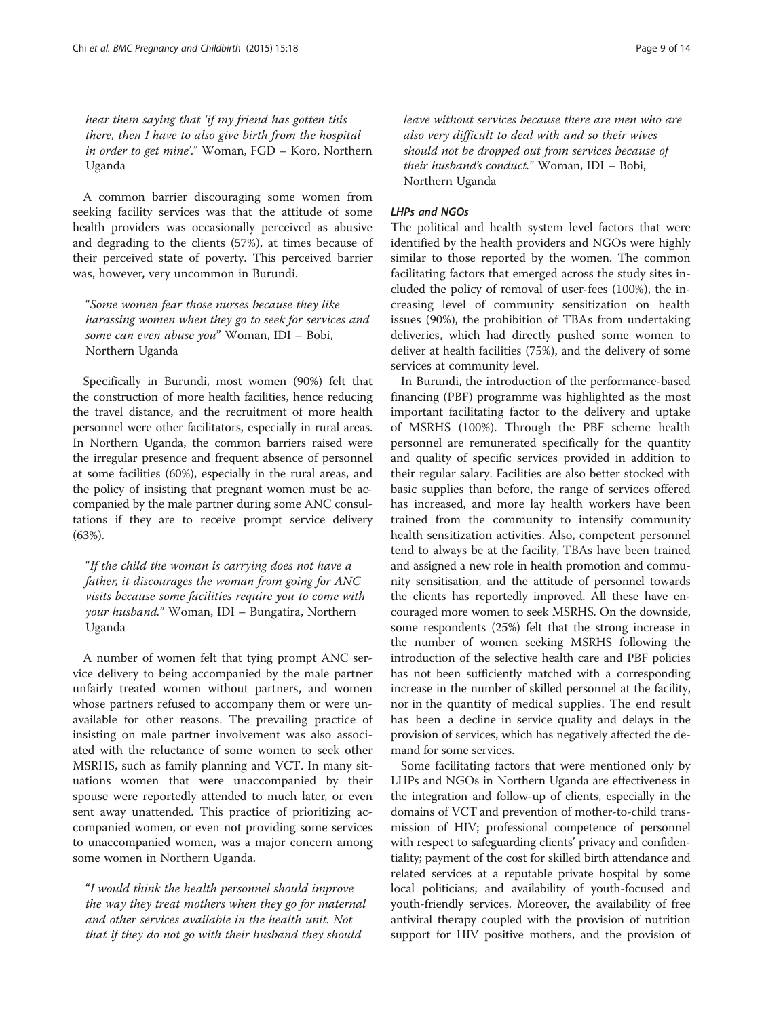hear them saying that 'if my friend has gotten this there, then I have to also give birth from the hospital in order to get mine'." Woman, FGD – Koro, Northern Uganda

A common barrier discouraging some women from seeking facility services was that the attitude of some health providers was occasionally perceived as abusive and degrading to the clients (57%), at times because of their perceived state of poverty. This perceived barrier was, however, very uncommon in Burundi.

"Some women fear those nurses because they like harassing women when they go to seek for services and some can even abuse you" Woman, IDI – Bobi, Northern Uganda

Specifically in Burundi, most women (90%) felt that the construction of more health facilities, hence reducing the travel distance, and the recruitment of more health personnel were other facilitators, especially in rural areas. In Northern Uganda, the common barriers raised were the irregular presence and frequent absence of personnel at some facilities (60%), especially in the rural areas, and the policy of insisting that pregnant women must be accompanied by the male partner during some ANC consultations if they are to receive prompt service delivery (63%).

"If the child the woman is carrying does not have a father, it discourages the woman from going for ANC visits because some facilities require you to come with your husband." Woman, IDI – Bungatira, Northern Uganda

A number of women felt that tying prompt ANC service delivery to being accompanied by the male partner unfairly treated women without partners, and women whose partners refused to accompany them or were unavailable for other reasons. The prevailing practice of insisting on male partner involvement was also associated with the reluctance of some women to seek other MSRHS, such as family planning and VCT. In many situations women that were unaccompanied by their spouse were reportedly attended to much later, or even sent away unattended. This practice of prioritizing accompanied women, or even not providing some services to unaccompanied women, was a major concern among some women in Northern Uganda.

"I would think the health personnel should improve the way they treat mothers when they go for maternal and other services available in the health unit. Not that if they do not go with their husband they should

leave without services because there are men who are also very difficult to deal with and so their wives should not be dropped out from services because of their husband's conduct." Woman, IDI – Bobi, Northern Uganda

#### LHPs and NGOs

The political and health system level factors that were identified by the health providers and NGOs were highly similar to those reported by the women. The common facilitating factors that emerged across the study sites included the policy of removal of user-fees (100%), the increasing level of community sensitization on health issues (90%), the prohibition of TBAs from undertaking deliveries, which had directly pushed some women to deliver at health facilities (75%), and the delivery of some services at community level.

In Burundi, the introduction of the performance-based financing (PBF) programme was highlighted as the most important facilitating factor to the delivery and uptake of MSRHS (100%). Through the PBF scheme health personnel are remunerated specifically for the quantity and quality of specific services provided in addition to their regular salary. Facilities are also better stocked with basic supplies than before, the range of services offered has increased, and more lay health workers have been trained from the community to intensify community health sensitization activities. Also, competent personnel tend to always be at the facility, TBAs have been trained and assigned a new role in health promotion and community sensitisation, and the attitude of personnel towards the clients has reportedly improved. All these have encouraged more women to seek MSRHS. On the downside, some respondents (25%) felt that the strong increase in the number of women seeking MSRHS following the introduction of the selective health care and PBF policies has not been sufficiently matched with a corresponding increase in the number of skilled personnel at the facility, nor in the quantity of medical supplies. The end result has been a decline in service quality and delays in the provision of services, which has negatively affected the demand for some services.

Some facilitating factors that were mentioned only by LHPs and NGOs in Northern Uganda are effectiveness in the integration and follow-up of clients, especially in the domains of VCT and prevention of mother-to-child transmission of HIV; professional competence of personnel with respect to safeguarding clients' privacy and confidentiality; payment of the cost for skilled birth attendance and related services at a reputable private hospital by some local politicians; and availability of youth-focused and youth-friendly services. Moreover, the availability of free antiviral therapy coupled with the provision of nutrition support for HIV positive mothers, and the provision of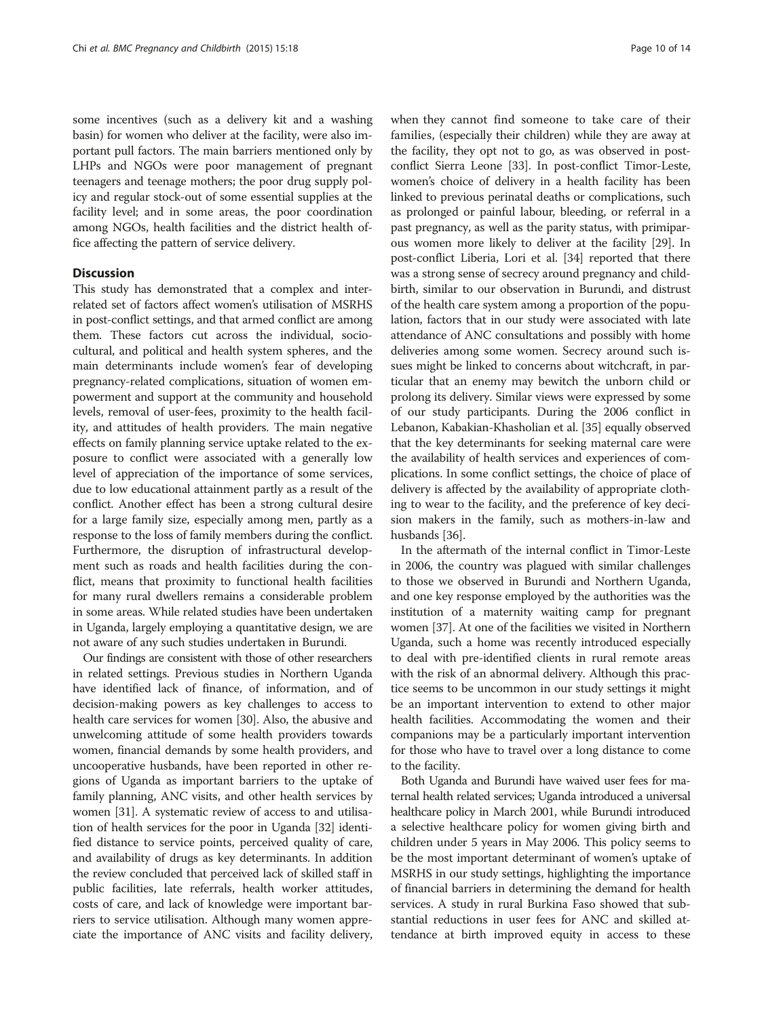some incentives (such as a delivery kit and a washing basin) for women who deliver at the facility, were also important pull factors. The main barriers mentioned only by LHPs and NGOs were poor management of pregnant teenagers and teenage mothers; the poor drug supply policy and regular stock-out of some essential supplies at the facility level; and in some areas, the poor coordination among NGOs, health facilities and the district health office affecting the pattern of service delivery.

#### **Discussion**

This study has demonstrated that a complex and interrelated set of factors affect women's utilisation of MSRHS in post-conflict settings, and that armed conflict are among them. These factors cut across the individual, sociocultural, and political and health system spheres, and the main determinants include women's fear of developing pregnancy-related complications, situation of women empowerment and support at the community and household levels, removal of user-fees, proximity to the health facility, and attitudes of health providers. The main negative effects on family planning service uptake related to the exposure to conflict were associated with a generally low level of appreciation of the importance of some services, due to low educational attainment partly as a result of the conflict. Another effect has been a strong cultural desire for a large family size, especially among men, partly as a response to the loss of family members during the conflict. Furthermore, the disruption of infrastructural development such as roads and health facilities during the conflict, means that proximity to functional health facilities for many rural dwellers remains a considerable problem in some areas. While related studies have been undertaken in Uganda, largely employing a quantitative design, we are not aware of any such studies undertaken in Burundi.

Our findings are consistent with those of other researchers in related settings. Previous studies in Northern Uganda have identified lack of finance, of information, and of decision-making powers as key challenges to access to health care services for women [\[30\]](#page-13-0). Also, the abusive and unwelcoming attitude of some health providers towards women, financial demands by some health providers, and uncooperative husbands, have been reported in other regions of Uganda as important barriers to the uptake of family planning, ANC visits, and other health services by women [[31](#page-13-0)]. A systematic review of access to and utilisation of health services for the poor in Uganda [\[32](#page-13-0)] identified distance to service points, perceived quality of care, and availability of drugs as key determinants. In addition the review concluded that perceived lack of skilled staff in public facilities, late referrals, health worker attitudes, costs of care, and lack of knowledge were important barriers to service utilisation. Although many women appreciate the importance of ANC visits and facility delivery, when they cannot find someone to take care of their families, (especially their children) while they are away at the facility, they opt not to go, as was observed in postconflict Sierra Leone [\[33\]](#page-13-0). In post-conflict Timor-Leste, women's choice of delivery in a health facility has been linked to previous perinatal deaths or complications, such as prolonged or painful labour, bleeding, or referral in a past pregnancy, as well as the parity status, with primiparous women more likely to deliver at the facility [\[29\]](#page-13-0). In post-conflict Liberia, Lori et al. [\[34\]](#page-13-0) reported that there was a strong sense of secrecy around pregnancy and childbirth, similar to our observation in Burundi, and distrust of the health care system among a proportion of the population, factors that in our study were associated with late attendance of ANC consultations and possibly with home deliveries among some women. Secrecy around such issues might be linked to concerns about witchcraft, in particular that an enemy may bewitch the unborn child or prolong its delivery. Similar views were expressed by some of our study participants. During the 2006 conflict in Lebanon, Kabakian-Khasholian et al. [\[35](#page-13-0)] equally observed that the key determinants for seeking maternal care were the availability of health services and experiences of complications. In some conflict settings, the choice of place of delivery is affected by the availability of appropriate clothing to wear to the facility, and the preference of key decision makers in the family, such as mothers-in-law and husbands [\[36\]](#page-13-0).

In the aftermath of the internal conflict in Timor-Leste in 2006, the country was plagued with similar challenges to those we observed in Burundi and Northern Uganda, and one key response employed by the authorities was the institution of a maternity waiting camp for pregnant women [\[37\]](#page-13-0). At one of the facilities we visited in Northern Uganda, such a home was recently introduced especially to deal with pre-identified clients in rural remote areas with the risk of an abnormal delivery. Although this practice seems to be uncommon in our study settings it might be an important intervention to extend to other major health facilities. Accommodating the women and their companions may be a particularly important intervention for those who have to travel over a long distance to come to the facility.

Both Uganda and Burundi have waived user fees for maternal health related services; Uganda introduced a universal healthcare policy in March 2001, while Burundi introduced a selective healthcare policy for women giving birth and children under 5 years in May 2006. This policy seems to be the most important determinant of women's uptake of MSRHS in our study settings, highlighting the importance of financial barriers in determining the demand for health services. A study in rural Burkina Faso showed that substantial reductions in user fees for ANC and skilled attendance at birth improved equity in access to these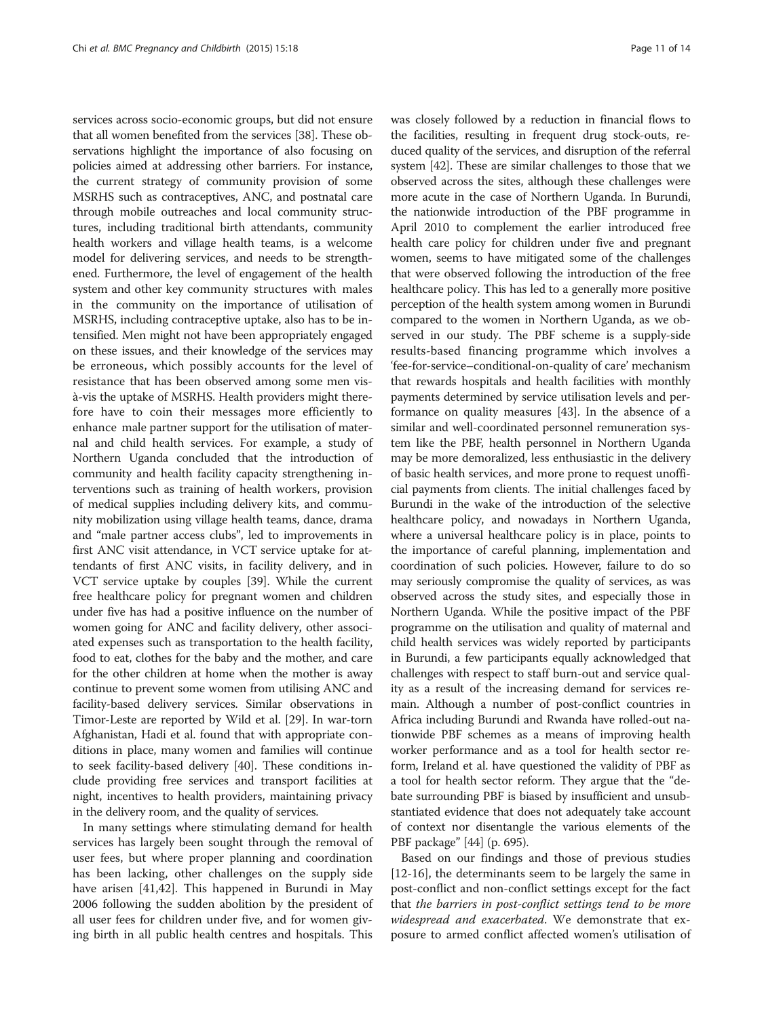services across socio-economic groups, but did not ensure that all women benefited from the services [[38\]](#page-13-0). These observations highlight the importance of also focusing on policies aimed at addressing other barriers. For instance, the current strategy of community provision of some MSRHS such as contraceptives, ANC, and postnatal care through mobile outreaches and local community structures, including traditional birth attendants, community health workers and village health teams, is a welcome model for delivering services, and needs to be strengthened. Furthermore, the level of engagement of the health system and other key community structures with males in the community on the importance of utilisation of MSRHS, including contraceptive uptake, also has to be intensified. Men might not have been appropriately engaged on these issues, and their knowledge of the services may be erroneous, which possibly accounts for the level of resistance that has been observed among some men visà-vis the uptake of MSRHS. Health providers might therefore have to coin their messages more efficiently to enhance male partner support for the utilisation of maternal and child health services. For example, a study of Northern Uganda concluded that the introduction of community and health facility capacity strengthening interventions such as training of health workers, provision of medical supplies including delivery kits, and community mobilization using village health teams, dance, drama and "male partner access clubs", led to improvements in first ANC visit attendance, in VCT service uptake for attendants of first ANC visits, in facility delivery, and in VCT service uptake by couples [\[39](#page-13-0)]. While the current free healthcare policy for pregnant women and children under five has had a positive influence on the number of women going for ANC and facility delivery, other associated expenses such as transportation to the health facility, food to eat, clothes for the baby and the mother, and care for the other children at home when the mother is away continue to prevent some women from utilising ANC and facility-based delivery services. Similar observations in Timor-Leste are reported by Wild et al. [\[29\]](#page-13-0). In war-torn Afghanistan, Hadi et al. found that with appropriate conditions in place, many women and families will continue to seek facility-based delivery [[40](#page-13-0)]. These conditions include providing free services and transport facilities at night, incentives to health providers, maintaining privacy in the delivery room, and the quality of services.

In many settings where stimulating demand for health services has largely been sought through the removal of user fees, but where proper planning and coordination has been lacking, other challenges on the supply side have arisen [[41](#page-13-0),[42](#page-13-0)]. This happened in Burundi in May 2006 following the sudden abolition by the president of all user fees for children under five, and for women giving birth in all public health centres and hospitals. This

was closely followed by a reduction in financial flows to the facilities, resulting in frequent drug stock-outs, reduced quality of the services, and disruption of the referral system [\[42\]](#page-13-0). These are similar challenges to those that we observed across the sites, although these challenges were more acute in the case of Northern Uganda. In Burundi, the nationwide introduction of the PBF programme in April 2010 to complement the earlier introduced free health care policy for children under five and pregnant women, seems to have mitigated some of the challenges that were observed following the introduction of the free healthcare policy. This has led to a generally more positive perception of the health system among women in Burundi compared to the women in Northern Uganda, as we observed in our study. The PBF scheme is a supply-side results-based financing programme which involves a 'fee-for-service–conditional-on-quality of care' mechanism that rewards hospitals and health facilities with monthly payments determined by service utilisation levels and performance on quality measures [\[43](#page-13-0)]. In the absence of a similar and well-coordinated personnel remuneration system like the PBF, health personnel in Northern Uganda may be more demoralized, less enthusiastic in the delivery of basic health services, and more prone to request unofficial payments from clients. The initial challenges faced by Burundi in the wake of the introduction of the selective healthcare policy, and nowadays in Northern Uganda, where a universal healthcare policy is in place, points to the importance of careful planning, implementation and coordination of such policies. However, failure to do so may seriously compromise the quality of services, as was observed across the study sites, and especially those in Northern Uganda. While the positive impact of the PBF programme on the utilisation and quality of maternal and child health services was widely reported by participants in Burundi, a few participants equally acknowledged that challenges with respect to staff burn-out and service quality as a result of the increasing demand for services remain. Although a number of post-conflict countries in Africa including Burundi and Rwanda have rolled-out nationwide PBF schemes as a means of improving health worker performance and as a tool for health sector reform, Ireland et al. have questioned the validity of PBF as a tool for health sector reform. They argue that the "debate surrounding PBF is biased by insufficient and unsubstantiated evidence that does not adequately take account of context nor disentangle the various elements of the PBF package" [[44](#page-13-0)] (p. 695).

Based on our findings and those of previous studies [[12-](#page-12-0)[16](#page-13-0)], the determinants seem to be largely the same in post-conflict and non-conflict settings except for the fact that the barriers in post-conflict settings tend to be more widespread and exacerbated. We demonstrate that exposure to armed conflict affected women's utilisation of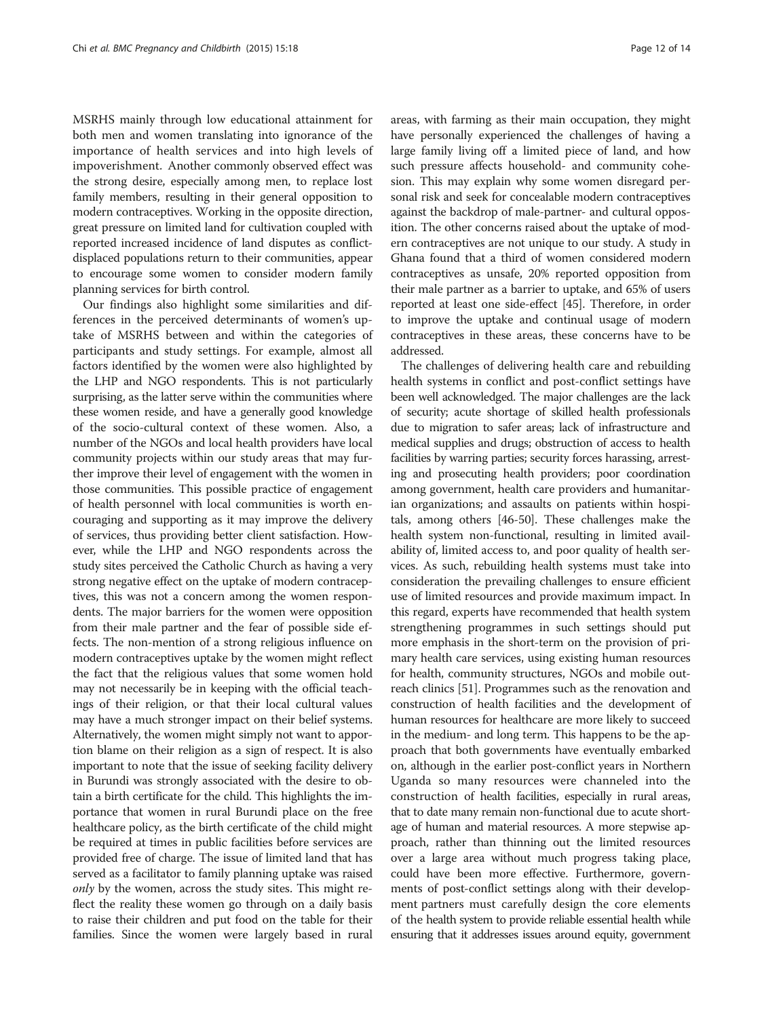MSRHS mainly through low educational attainment for both men and women translating into ignorance of the importance of health services and into high levels of impoverishment. Another commonly observed effect was the strong desire, especially among men, to replace lost family members, resulting in their general opposition to modern contraceptives. Working in the opposite direction, great pressure on limited land for cultivation coupled with reported increased incidence of land disputes as conflictdisplaced populations return to their communities, appear to encourage some women to consider modern family planning services for birth control.

Our findings also highlight some similarities and differences in the perceived determinants of women's uptake of MSRHS between and within the categories of participants and study settings. For example, almost all factors identified by the women were also highlighted by the LHP and NGO respondents. This is not particularly surprising, as the latter serve within the communities where these women reside, and have a generally good knowledge of the socio-cultural context of these women. Also, a number of the NGOs and local health providers have local community projects within our study areas that may further improve their level of engagement with the women in those communities. This possible practice of engagement of health personnel with local communities is worth encouraging and supporting as it may improve the delivery of services, thus providing better client satisfaction. However, while the LHP and NGO respondents across the study sites perceived the Catholic Church as having a very strong negative effect on the uptake of modern contraceptives, this was not a concern among the women respondents. The major barriers for the women were opposition from their male partner and the fear of possible side effects. The non-mention of a strong religious influence on modern contraceptives uptake by the women might reflect the fact that the religious values that some women hold may not necessarily be in keeping with the official teachings of their religion, or that their local cultural values may have a much stronger impact on their belief systems. Alternatively, the women might simply not want to apportion blame on their religion as a sign of respect. It is also important to note that the issue of seeking facility delivery in Burundi was strongly associated with the desire to obtain a birth certificate for the child. This highlights the importance that women in rural Burundi place on the free healthcare policy, as the birth certificate of the child might be required at times in public facilities before services are provided free of charge. The issue of limited land that has served as a facilitator to family planning uptake was raised only by the women, across the study sites. This might reflect the reality these women go through on a daily basis to raise their children and put food on the table for their families. Since the women were largely based in rural

areas, with farming as their main occupation, they might have personally experienced the challenges of having a large family living off a limited piece of land, and how such pressure affects household- and community cohesion. This may explain why some women disregard personal risk and seek for concealable modern contraceptives against the backdrop of male-partner- and cultural opposition. The other concerns raised about the uptake of modern contraceptives are not unique to our study. A study in Ghana found that a third of women considered modern contraceptives as unsafe, 20% reported opposition from their male partner as a barrier to uptake, and 65% of users reported at least one side-effect [\[45](#page-13-0)]. Therefore, in order to improve the uptake and continual usage of modern contraceptives in these areas, these concerns have to be addressed.

The challenges of delivering health care and rebuilding health systems in conflict and post-conflict settings have been well acknowledged. The major challenges are the lack of security; acute shortage of skilled health professionals due to migration to safer areas; lack of infrastructure and medical supplies and drugs; obstruction of access to health facilities by warring parties; security forces harassing, arresting and prosecuting health providers; poor coordination among government, health care providers and humanitarian organizations; and assaults on patients within hospitals, among others [\[46-50\]](#page-13-0). These challenges make the health system non-functional, resulting in limited availability of, limited access to, and poor quality of health services. As such, rebuilding health systems must take into consideration the prevailing challenges to ensure efficient use of limited resources and provide maximum impact. In this regard, experts have recommended that health system strengthening programmes in such settings should put more emphasis in the short-term on the provision of primary health care services, using existing human resources for health, community structures, NGOs and mobile outreach clinics [\[51\]](#page-13-0). Programmes such as the renovation and construction of health facilities and the development of human resources for healthcare are more likely to succeed in the medium- and long term. This happens to be the approach that both governments have eventually embarked on, although in the earlier post-conflict years in Northern Uganda so many resources were channeled into the construction of health facilities, especially in rural areas, that to date many remain non-functional due to acute shortage of human and material resources. A more stepwise approach, rather than thinning out the limited resources over a large area without much progress taking place, could have been more effective. Furthermore, governments of post-conflict settings along with their development partners must carefully design the core elements of the health system to provide reliable essential health while ensuring that it addresses issues around equity, government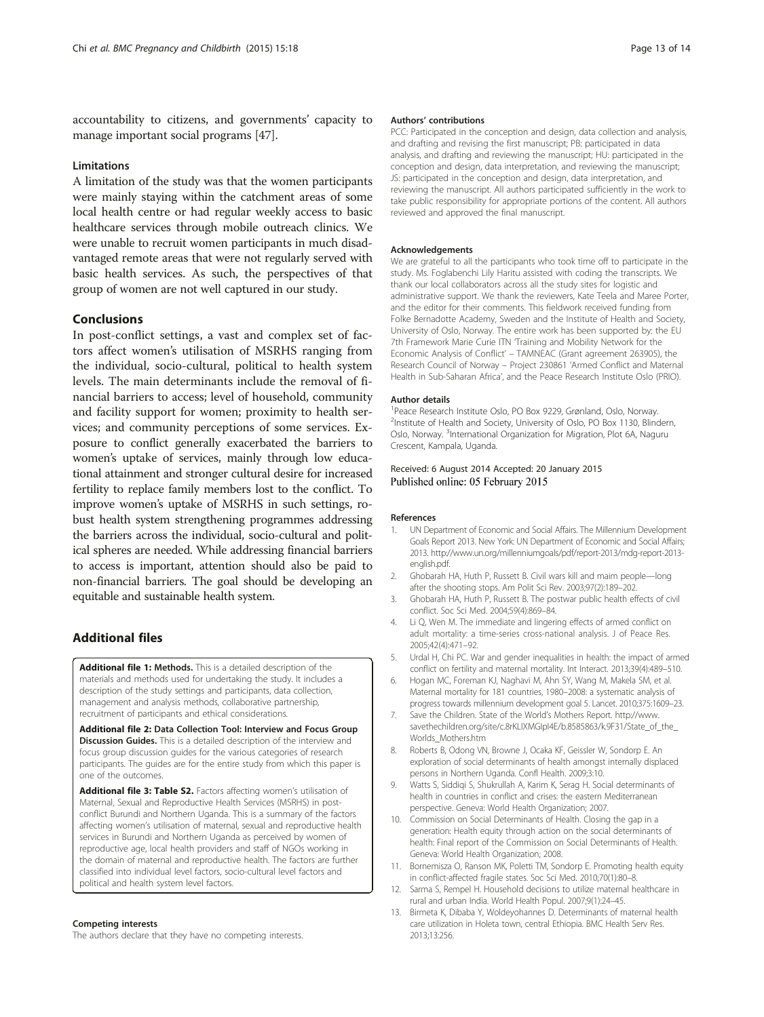<span id="page-12-0"></span>accountability to citizens, and governments' capacity to manage important social programs [[47](#page-13-0)].

#### Limitations

A limitation of the study was that the women participants were mainly staying within the catchment areas of some local health centre or had regular weekly access to basic healthcare services through mobile outreach clinics. We were unable to recruit women participants in much disadvantaged remote areas that were not regularly served with basic health services. As such, the perspectives of that group of women are not well captured in our study.

# Conclusions

In post-conflict settings, a vast and complex set of factors affect women's utilisation of MSRHS ranging from the individual, socio-cultural, political to health system levels. The main determinants include the removal of financial barriers to access; level of household, community and facility support for women; proximity to health services; and community perceptions of some services. Exposure to conflict generally exacerbated the barriers to women's uptake of services, mainly through low educational attainment and stronger cultural desire for increased fertility to replace family members lost to the conflict. To improve women's uptake of MSRHS in such settings, robust health system strengthening programmes addressing the barriers across the individual, socio-cultural and political spheres are needed. While addressing financial barriers to access is important, attention should also be paid to non-financial barriers. The goal should be developing an equitable and sustainable health system.

# Additional files

[Additional file 1:](http://www.biomedcentral.com/content/supplementary/s12884-015-0449-8-s1.docx) Methods. This is a detailed description of the materials and methods used for undertaking the study. It includes a description of the study settings and participants, data collection, management and analysis methods, collaborative partnership, recruitment of participants and ethical considerations.

[Additional file 2:](http://www.biomedcentral.com/content/supplementary/s12884-015-0449-8-s2.doc) Data Collection Tool: Interview and Focus Group Discussion Guides. This is a detailed description of the interview and focus group discussion guides for the various categories of research participants. The guides are for the entire study from which this paper is one of the outcomes.

[Additional file 3: Table S2.](http://www.biomedcentral.com/content/supplementary/s12884-015-0449-8-s3.docx) Factors affecting women's utilisation of Maternal, Sexual and Reproductive Health Services (MSRHS) in postconflict Burundi and Northern Uganda. This is a summary of the factors affecting women's utilisation of maternal, sexual and reproductive health services in Burundi and Northern Uganda as perceived by women of reproductive age, local health providers and staff of NGOs working in the domain of maternal and reproductive health. The factors are further classified into individual level factors, socio-cultural level factors and political and health system level factors.

#### Competing interests

The authors declare that they have no competing interests.

#### Authors' contributions

PCC: Participated in the conception and design, data collection and analysis, and drafting and revising the first manuscript; PB: participated in data analysis, and drafting and reviewing the manuscript; HU: participated in the conception and design, data interpretation, and reviewing the manuscript; JS: participated in the conception and design, data interpretation, and reviewing the manuscript. All authors participated sufficiently in the work to take public responsibility for appropriate portions of the content. All authors reviewed and approved the final manuscript.

#### Acknowledgements

We are grateful to all the participants who took time off to participate in the study. Ms. Foglabenchi Lily Haritu assisted with coding the transcripts. We thank our local collaborators across all the study sites for logistic and administrative support. We thank the reviewers, Kate Teela and Maree Porter, and the editor for their comments. This fieldwork received funding from Folke Bernadotte Academy, Sweden and the Institute of Health and Society, University of Oslo, Norway. The entire work has been supported by: the EU 7th Framework Marie Curie ITN Training and Mobility Network for the Economic Analysis of Conflict' – TAMNEAC (Grant agreement 263905), the Research Council of Norway – Project 230861 'Armed Conflict and Maternal Health in Sub-Saharan Africa', and the Peace Research Institute Oslo (PRIO).

#### Author details

1 Peace Research Institute Oslo, PO Box 9229, Grønland, Oslo, Norway. <sup>2</sup>Institute of Health and Society, University of Oslo, PO Box 1130, Blindern Oslo, Norway. <sup>3</sup>International Organization for Migration, Plot 6A, Naguru Crescent, Kampala, Uganda.

#### Received: 6 August 2014 Accepted: 20 January 2015 Published online: 05 February 2015

#### References

- 1. UN Department of Economic and Social Affairs. The Millennium Development Goals Report 2013. New York: UN Department of Economic and Social Affairs; 2013. [http://www.un.org/millenniumgoals/pdf/report-2013/mdg-report-2013](http://www.un.org/millenniumgoals/pdf/report-2013/mdg-report-2013-english.pdf) [english.pdf.](http://www.un.org/millenniumgoals/pdf/report-2013/mdg-report-2013-english.pdf)
- 2. Ghobarah HA, Huth P, Russett B. Civil wars kill and maim people—long after the shooting stops. Am Polit Sci Rev. 2003;97(2):189–202.
- 3. Ghobarah HA, Huth P, Russett B. The postwar public health effects of civil conflict. Soc Sci Med. 2004;59(4):869–84.
- 4. Li Q, Wen M. The immediate and lingering effects of armed conflict on adult mortality: a time-series cross-national analysis. J of Peace Res. 2005;42(4):471–92.
- 5. Urdal H, Chi PC. War and gender inequalities in health: the impact of armed conflict on fertility and maternal mortality. Int Interact. 2013;39(4):489–510.
- 6. Hogan MC, Foreman KJ, Naghavi M, Ahn SY, Wang M, Makela SM, et al. Maternal mortality for 181 countries, 1980–2008: a systematic analysis of progress towards millennium development goal 5. Lancet. 2010;375:1609–23.
- 7. Save the Children. State of the World's Mothers Report. [http://www.](http://www.savethechildren.org/site/c.8rKLIXMGIpI4E/b.8585863/k.9F31/State_of_the_Worlds_Mothers.htm) [savethechildren.org/site/c.8rKLIXMGIpI4E/b.8585863/k.9F31/State\\_of\\_the\\_](http://www.savethechildren.org/site/c.8rKLIXMGIpI4E/b.8585863/k.9F31/State_of_the_Worlds_Mothers.htm) [Worlds\\_Mothers.htm](http://www.savethechildren.org/site/c.8rKLIXMGIpI4E/b.8585863/k.9F31/State_of_the_Worlds_Mothers.htm)
- 8. Roberts B, Odong VN, Browne J, Ocaka KF, Geissler W, Sondorp E. An exploration of social determinants of health amongst internally displaced persons in Northern Uganda. Confl Health. 2009;3:10.
- 9. Watts S, Siddiqi S, Shukrullah A, Karim K, Serag H. Social determinants of health in countries in conflict and crises: the eastern Mediterranean perspective. Geneva: World Health Organization; 2007.
- 10. Commission on Social Determinants of Health. Closing the gap in a generation: Health equity through action on the social determinants of health: Final report of the Commission on Social Determinants of Health. Geneva: World Health Organization; 2008.
- 11. Bornemisza O, Ranson MK, Poletti TM, Sondorp E. Promoting health equity in conflict-affected fragile states. Soc Sci Med. 2010;70(1):80–8.
- 12. Sarma S, Rempel H. Household decisions to utilize maternal healthcare in rural and urban India. World Health Popul. 2007;9(1):24–45.
- 13. Birmeta K, Dibaba Y, Woldeyohannes D. Determinants of maternal health care utilization in Holeta town, central Ethiopia. BMC Health Serv Res. 2013;13:256.